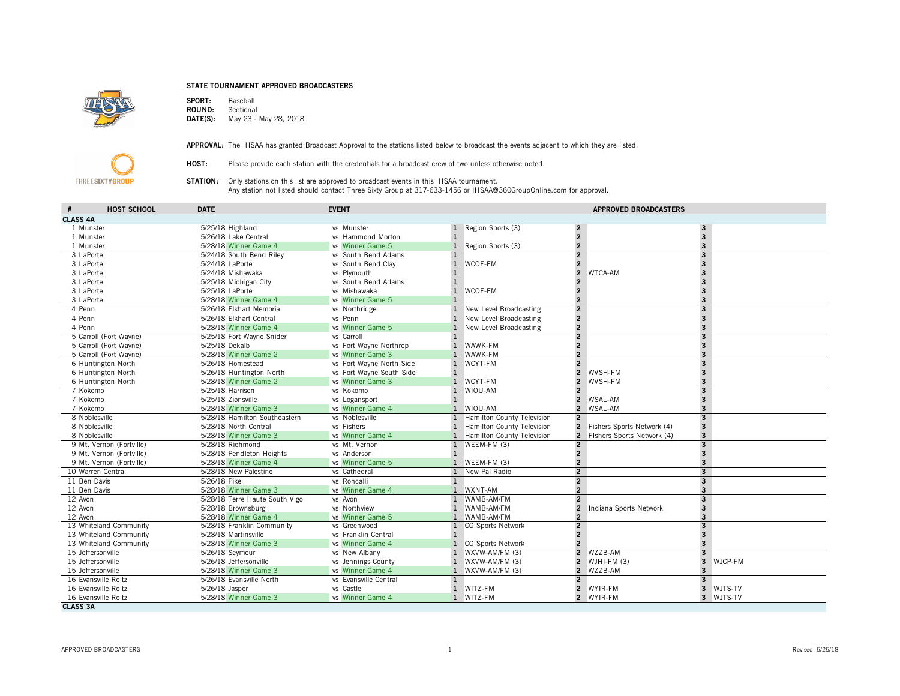## STATE TOURNAMENT APPROVED BROADCASTERS



SPORT: Baseball<br>ROUND: Sectional ROUND:<br>DATE(S): May 23 - May 28, 2018



APPROVAL: The IHSAA has granted Broadcast Approval to the stations listed below to broadcast the events adjacent to which they are listed.

HOST: Please provide each station with the credentials for a broadcast crew of two unless otherwise noted.

STATION: Only stations on this list are approved to broadcast events in this IHSAA tournament. Any station not listed should contact Three Sixty Group at 317-633-1456 or IHSAA@360GroupOnline.com for approval.

| HOST SCHOOL<br>$\#$      | <b>DATE</b>                    | <b>EVENT</b>             |              |                            |                | <b>APPROVED BROADCASTERS</b> |                         |         |  |
|--------------------------|--------------------------------|--------------------------|--------------|----------------------------|----------------|------------------------------|-------------------------|---------|--|
| <b>CLASS 4A</b>          |                                |                          |              |                            |                |                              |                         |         |  |
| 1 Munster                | 5/25/18 Highland               | vs Munster               | $\mathbf{1}$ | Region Sports (3)          | $\overline{2}$ |                              | 3                       |         |  |
| 1 Munster                | 5/26/18 Lake Central           | vs Hammond Morton        | $\mathbf{1}$ |                            | $\overline{2}$ |                              | $\overline{3}$          |         |  |
| 1 Munster                | 5/28/18 Winner Game 4          | vs Winner Game 5         | 1            | Region Sports (3)          | $\overline{2}$ |                              | 3                       |         |  |
| 3 LaPorte                | 5/24/18 South Bend Riley       | vs South Bend Adams      |              |                            | $\overline{2}$ |                              | $\overline{3}$          |         |  |
| 3 LaPorte                | 5/24/18 LaPorte                | vs South Bend Clay       | $\mathbf{1}$ | WCOE-FM                    | $\overline{2}$ |                              | 3                       |         |  |
| 3 LaPorte                | 5/24/18 Mishawaka              | vs Plymouth              |              |                            | $\overline{2}$ | WTCA-AM                      |                         |         |  |
| 3 LaPorte                | 5/25/18 Michigan City          | vs. South Bend Adams     |              |                            |                |                              |                         |         |  |
| 3 LaPorte                | 5/25/18 LaPorte                | vs Mishawaka             | $\mathbf{1}$ | WCOE-FM                    | $\overline{c}$ |                              |                         |         |  |
| 3 LaPorte                | 5/28/18 Winner Game 4          | vs Winner Game 5         | $\mathbf{1}$ |                            | $\overline{2}$ |                              |                         |         |  |
| 4 Penn                   | 5/26/18 Elkhart Memorial       | vs Northridge            | $\mathbf{1}$ | New Level Broadcasting     | $\overline{2}$ |                              | $\overline{3}$          |         |  |
| 4 Penn                   | 5/26/18 Elkhart Central        | vs Penn                  | 1            | New Level Broadcasting     | $\mathbf 2$    |                              | $\overline{3}$          |         |  |
| 4 Penn                   | 5/28/18 Winner Game 4          | vs Winner Game 5         | $\mathbf{1}$ | New Level Broadcasting     | $\overline{2}$ |                              |                         |         |  |
| 5 Carroll (Fort Wayne)   | 5/25/18 Fort Wayne Snider      | vs Carroll               | $\mathbf{1}$ |                            | $\overline{2}$ |                              | 3                       |         |  |
| 5 Carroll (Fort Wayne)   | 5/25/18 Dekalb                 | vs Fort Wayne Northrop   | $\mathbf{1}$ | WAWK-FM                    | $\overline{2}$ |                              | 3                       |         |  |
| 5 Carroll (Fort Wayne)   | 5/28/18 Winner Game 2          | vs Winner Game 3         | $\mathbf{1}$ | WAWK-FM                    | $\overline{2}$ |                              |                         |         |  |
| 6 Huntington North       | 5/26/18 Homestead              | vs Fort Wayne North Side | 1            | WCYT-FM                    | $\overline{2}$ |                              | $\overline{3}$          |         |  |
| 6 Huntington North       | 5/26/18 Huntington North       | vs Fort Wayne South Side | 1            |                            | $\overline{2}$ | WVSH-FM                      | $\overline{3}$          |         |  |
| 6 Huntington North       | 5/28/18 Winner Game 2          | vs Winner Game 3         | $\mathbf{1}$ | WCYT-FM                    |                | 2 WVSH-FM                    |                         |         |  |
| 7 Kokomo                 | 5/25/18 Harrison               | vs Kokomo                | $\mathbf{1}$ | WIOU-AM                    | $\overline{2}$ |                              | 3                       |         |  |
| 7 Kokomo                 | 5/25/18 Zionsville             | vs Logansport            | $\mathbf{1}$ |                            | $\overline{2}$ | WSAL-AM                      | 3                       |         |  |
| 7 Kokomo                 | 5/28/18 Winner Game 3          | vs Winner Game 4         | $\mathbf{1}$ | WIOU-AM                    |                | 2 WSAL-AM                    | 3                       |         |  |
| 8 Noblesville            | 5/28/18 Hamilton Southeastern  | vs Noblesville           | $\mathbf{1}$ | Hamilton County Television | $\overline{2}$ |                              | $\overline{3}$          |         |  |
| 8 Noblesville            | 5/28/18 North Central          | vs Fishers               | $\mathbf{1}$ | Hamilton County Television |                | 2 Fishers Sports Network (4) | $\overline{\mathbf{3}}$ |         |  |
| 8 Noblesville            | 5/28/18 Winner Game 3          | vs Winner Game 4         | $\mathbf{1}$ | Hamilton County Television |                | 2 Fishers Sports Network (4) | 3                       |         |  |
| 9 Mt. Vernon (Fortville) | 5/28/18 Richmond               | vs Mt. Vernon            | 1            | WEEM-FM (3)                | $\overline{2}$ |                              | $\overline{3}$          |         |  |
| 9 Mt. Vernon (Fortville) | 5/28/18 Pendleton Heights      | vs Anderson              | $\mathbf{1}$ |                            | $\overline{c}$ |                              | 3                       |         |  |
| 9 Mt. Vernon (Fortville) | 5/28/18 Winner Game 4          | vs Winner Game 5         | $\mathbf{1}$ | WEEM-FM (3)                | $\overline{2}$ |                              |                         |         |  |
| 10 Warren Central        | 5/28/18 New Palestine          | vs Cathedral             | $\mathbf{1}$ | New Pal Radio              | $\overline{2}$ |                              | $\overline{3}$          |         |  |
| 11 Ben Davis             | 5/26/18 Pike                   | vs Roncalli              | $\mathbf{1}$ |                            | $\overline{2}$ |                              | $\overline{3}$          |         |  |
| 11 Ben Davis             | 5/28/18 Winner Game 3          | vs Winner Game 4         | $\mathbf{1}$ | WXNT-AM                    | $\overline{2}$ |                              | $\overline{3}$          |         |  |
| 12 Avon                  | 5/28/18 Terre Haute South Vigo | vs Avon                  | 1            | WAMB-AM/FM                 | $\overline{2}$ |                              | $\overline{3}$          |         |  |
| 12 Avon                  | 5/28/18 Brownsburg             | vs Northview             | $\mathbf{1}$ | WAMB-AM/FM                 | $\overline{2}$ | Indiana Sports Network       | 3                       |         |  |
| 12 Avon                  | 5/28/18 Winner Game 4          | vs Winner Game 5         | $\mathbf{1}$ | WAMB-AM/FM                 | $\overline{2}$ |                              |                         |         |  |
| 13 Whiteland Community   | 5/28/18 Franklin Community     | vs Greenwood             |              | CG Sports Network          | $\overline{2}$ |                              | 3                       |         |  |
| 13 Whiteland Community   | 5/28/18 Martinsville           | vs Franklin Central      | $\mathbf{1}$ |                            | $\mathbf 2$    |                              | $\overline{3}$          |         |  |
| 13 Whiteland Community   | 5/28/18 Winner Game 3          | vs Winner Game 4         |              | CG Sports Network          | $\overline{2}$ |                              |                         |         |  |
| 15 Jeffersonville        | 5/26/18 Seymour                | vs New Albany            | $\mathbf{1}$ | WXVW-AM/FM (3)             |                | 2 WZZB-AM                    | $\overline{3}$          |         |  |
| 15 Jeffersonville        | 5/26/18 Jeffersonville         | vs Jennings County       | 1            | WXVW-AM/FM (3)             | $\overline{2}$ | $WJHI-FM(3)$                 | 3                       | WJCP-FM |  |
| 15 Jeffersonville        | 5/28/18 Winner Game 3          | vs Winner Game 4         | 1            | WXVW-AM/FM (3)             |                | 2 WZZB-AM                    | 3                       |         |  |
| 16 Evansville Reitz      | 5/26/18 Evansville North       | vs Evansville Central    | $\mathbf{1}$ |                            | $\overline{2}$ |                              | $\overline{3}$          |         |  |
| 16 Evansville Reitz      | 5/26/18 Jasper                 | vs Castle                | $\mathbf{1}$ | WITZ-FM                    | $\overline{2}$ | WYIR-FM                      | 3                       | WJTS-TV |  |
| 16 Evansville Reitz      | 5/28/18 Winner Game 3          | vs Winner Game 4         | $\mathbf{1}$ | WITZ-FM                    |                | 2 WYIR-FM                    | $\overline{3}$          | WJTS-TV |  |
| <b>CLASS 3A</b>          |                                |                          |              |                            |                |                              |                         |         |  |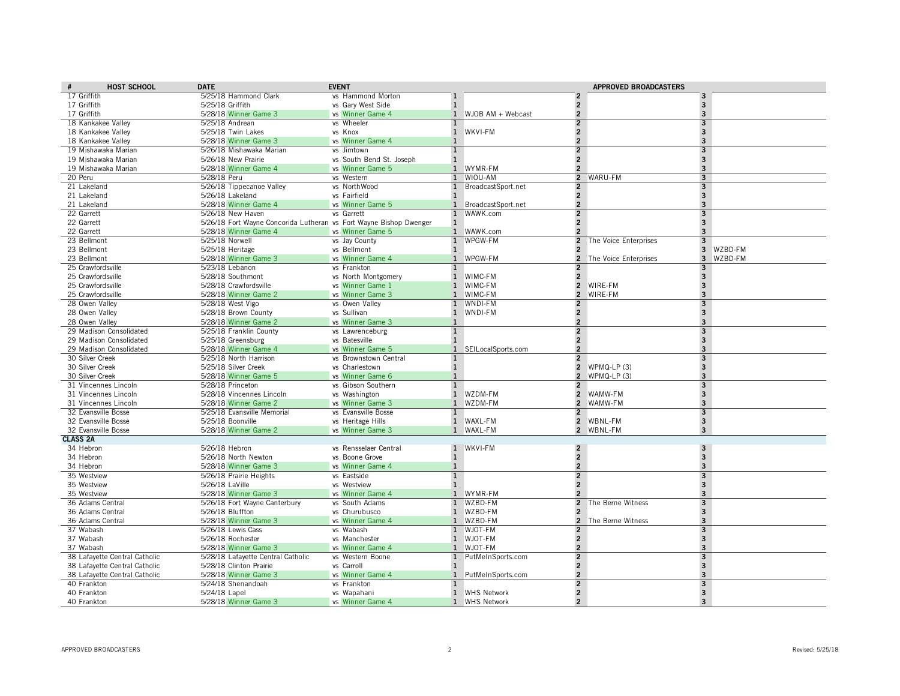| <b>HOST SCHOOL</b>                     | <b>DATE</b>                                                        | <b>EVENT</b>                            |                              |                                                       | <b>APPROVED BROADCASTERS</b> |                                         |
|----------------------------------------|--------------------------------------------------------------------|-----------------------------------------|------------------------------|-------------------------------------------------------|------------------------------|-----------------------------------------|
| 17 Griffith                            | 5/25/18 Hammond Clark                                              | vs Hammond Morton                       | $\mathbf{1}$                 | $\overline{2}$                                        |                              | $\overline{\mathbf{3}}$                 |
| 17 Griffith                            | 5/25/18 Griffith                                                   | vs Gary West Side                       | $\mathbf{1}$                 | $\overline{2}$                                        |                              | $\overline{\mathbf{3}}$                 |
| 17 Griffith                            | 5/28/18 Winner Game 3                                              | vs Winner Game 4                        | $\mathbf{1}$                 | $\overline{2}$<br>WJOB AM + Webcast                   |                              | 3                                       |
| 18 Kankakee Valley                     | 5/25/18 Andrean                                                    | vs Wheeler                              | $\mathbf{1}$                 | $\overline{2}$                                        |                              | 3                                       |
| 18 Kankakee Vallev                     | 5/25/18 Twin Lakes                                                 | vs Knox                                 | 1 WKVI-FM                    | $\overline{2}$                                        |                              | $\overline{3}$                          |
| 18 Kankakee Valley                     | 5/28/18 Winner Game 3                                              | vs Winner Game 4                        | 1                            | $\overline{2}$                                        |                              | 3                                       |
| 19 Mishawaka Marian                    | 5/26/18 Mishawaka Marian                                           | vs Jimtown                              | $\mathbf{1}$                 | $\overline{2}$                                        |                              | $\overline{\mathbf{3}}$                 |
| 19 Mishawaka Marian                    | 5/26/18 New Prairie                                                | vs South Bend St. Joseph                | $\mathbf{1}$                 | $\overline{2}$                                        |                              | $\overline{3}$                          |
| 19 Mishawaka Marian                    | 5/28/18 Winner Game 4                                              | vs Winner Game 5                        | 1 WYMR-FM                    | $\overline{2}$                                        |                              | $\overline{3}$                          |
| 20 Peru                                | 5/28/18 Peru                                                       | vs Western                              | $\mathbf{1}$                 | WIOU-AM                                               | 2 WARU-FM                    | $\overline{3}$                          |
| 21 Lakeland                            | 5/26/18 Tippecanoe Valley                                          | vs NorthWood                            | $\mathbf{1}$                 | BroadcastSport.net<br>$\overline{2}$                  |                              | $\mathbf{3}$                            |
| 21 Lakeland                            | 5/26/18 Lakeland                                                   | vs Fairfield                            | $\mathbf{1}$                 | $\overline{2}$                                        |                              | $\overline{3}$                          |
| 21 Lakeland                            | 5/28/18 Winner Game 4                                              | vs Winner Game 5                        |                              | $\overline{2}$<br>1 BroadcastSport.net                |                              | 3                                       |
| 22 Garrett                             | 5/26/18 New Haven                                                  | vs Garrett                              |                              | WAWK.com<br>$\overline{2}$                            |                              | $\overline{3}$                          |
| 22 Garrett                             | 5/26/18 Fort Wayne Concorida Lutheran vs Fort Wayne Bishop Dwenger |                                         | $\mathbf{1}$                 | $\overline{2}$                                        |                              | $\overline{3}$                          |
| 22 Garrett                             | 5/28/18 Winner Game 4                                              | vs Winner Game 5                        |                              | $\overline{2}$<br>1 WAWK.com                          |                              | 3                                       |
| 23 Bellmont                            | 5/25/18 Norwell                                                    | vs Jay County                           | $\mathbf{1}$                 | WPGW-FM<br>$\overline{2}$                             | The Voice Enterprises        | $\mathbf{3}$<br>$\overline{3}$          |
| 23 Bellmont                            | 5/25/18 Heritage                                                   | vs Bellmont                             | 1                            | $\overline{2}$                                        |                              | WZBD-FM                                 |
| 23 Bellmont                            | 5/28/18 Winner Game 3                                              | vs Winner Game 4                        | 1 WPGW-FM                    |                                                       | 2 The Voice Enterprises      | $\overline{\mathbf{3}}$<br>WZBD-FM      |
| 25 Crawfordsville                      | 5/23/18 Lebanon                                                    | vs Frankton                             | $\mathbf{1}$<br>$\mathbf{1}$ | $\overline{\phantom{a}}$<br>WIMC-FM<br>$\overline{2}$ |                              | 3                                       |
| 25 Crawfordsville<br>25 Crawfordsville | 5/28/18 Southmont<br>5/28/18 Crawfordsville                        | vs North Montgomery<br>vs Winner Game 1 | 1 WIMC-FM                    |                                                       | 2 WIRE-FM                    | $\mathbf{3}$<br>$\overline{\mathbf{3}}$ |
| 25 Crawfordsville                      | 5/28/18 Winner Game 2                                              | vs Winner Game 3                        | 1 WIMC-FM                    | $\overline{2}$                                        | WIRE-FM                      | 3                                       |
| 28 Owen Valley                         | 5/28/18 West Vigo                                                  | vs Owen Valley                          | $\mathbf{1}$                 | WNDI-FM<br>$\overline{2}$                             |                              | 3                                       |
| 28 Owen Valley                         | 5/28/18 Brown County                                               | vs Sullivan                             | 1 WNDI-FM                    | $\overline{2}$                                        |                              | $\overline{\mathbf{3}}$                 |
| 28 Owen Valley                         | 5/28/18 Winner Game 2                                              | vs Winner Game 3                        | $\mathbf{1}$                 | $\overline{2}$                                        |                              | $\overline{3}$                          |
| 29 Madison Consolidated                | 5/25/18 Franklin County                                            | vs Lawrenceburg                         | $\mathbf{1}$                 | $\overline{2}$                                        |                              | $\overline{\mathbf{3}}$                 |
| 29 Madison Consolidated                | 5/25/18 Greensburg                                                 | vs Batesville                           | $\mathbf{1}$                 | $\overline{2}$                                        |                              | $\overline{3}$                          |
| 29 Madison Consolidated                | 5/28/18 Winner Game 4                                              | vs Winner Game 5                        | $\mathbf{1}$                 | $\overline{2}$<br>SEILocalSports.com                  |                              | $\overline{3}$                          |
| 30 Silver Creek                        | 5/25/18 North Harrison                                             | vs Brownstown Central                   | $\mathbf{1}$                 | $\overline{2}$                                        |                              | 3                                       |
| 30 Silver Creek                        | 5/25/18 Silver Creek                                               | vs Charlestown                          | $\mathbf{1}$                 |                                                       | 2 WPMQ-LP (3)                | $\overline{3}$                          |
| 30 Silver Creek                        | 5/28/18 Winner Game 5                                              | vs Winner Game 6                        | $\mathbf{1}$                 |                                                       | 2 WPMQ-LP $(3)$              | 3                                       |
| 31 Vincennes Lincoln                   | 5/28/18 Princeton                                                  | vs Gibson Southern                      | $\overline{1}$               | $\overline{2}$                                        |                              | $\overline{3}$                          |
| 31 Vincennes Lincoln                   | 5/28/18 Vincennes Lincoln                                          | vs Washington                           | $\mathbf{1}$                 | WZDM-FM                                               | 2 WAMW-FM                    | $\overline{3}$                          |
| 31 Vincennes Lincoln                   | 5/28/18 Winner Game 2                                              | vs Winner Game 3                        | $\mathbf{1}$                 | WZDM-FM<br>$\overline{2}$                             | WAMW-FM                      | $\overline{3}$                          |
| 32 Evansville Bosse                    | 5/25/18 Evansville Memorial                                        | vs Evansville Bosse                     | $\mathbf{1}$                 | $\overline{2}$                                        |                              | $\mathbf{3}$                            |
| 32 Evansville Bosse                    | 5/25/18 Boonville                                                  | vs Heritage Hills                       | 1 WAXL-FM                    |                                                       | 2 WBNL-FM                    | $\overline{3}$                          |
| 32 Evansville Bosse                    | 5/28/18 Winner Game 2                                              | vs Winner Game 3                        | $\mathbf{1}$                 | WAXL-FM                                               | 2 WBNL-FM                    | $\overline{\mathbf{3}}$                 |
| <b>CLASS 2A</b>                        |                                                                    |                                         |                              |                                                       |                              |                                         |
| 34 Hebron                              | 5/26/18 Hebron                                                     | vs Rensselaer Central                   | 1 WKVI-FM                    | $\overline{2}$                                        |                              | $\overline{\mathbf{3}}$                 |
| 34 Hebron                              | 5/26/18 North Newton                                               | vs Boone Grove                          | 1                            | $\overline{2}$                                        |                              | $\overline{3}$                          |
| 34 Hebron                              | 5/28/18 Winner Game 3                                              | vs Winner Game 4                        | 1                            | $\overline{2}$                                        |                              | 3                                       |
| 35 Westview                            | 5/26/18 Prairie Heights                                            | vs Eastside                             | $\mathbf{1}$                 | $\overline{2}$                                        |                              | $\overline{3}$                          |
| 35 Westview                            | 5/26/18 LaVille                                                    | vs Westview                             | $\mathbf{1}$                 | $\overline{2}$                                        |                              | $\overline{3}$                          |
| 35 Westview                            | 5/28/18 Winner Game 3                                              | vs Winner Game 4                        | $\mathbf{1}$                 | $\overline{2}$<br>WYMR-FM                             |                              | 3                                       |
| 36 Adams Central                       | 5/26/18 Fort Wayne Canterbury                                      | vs South Adams                          | $\mathbf{1}$                 | WZBD-FM<br>$\overline{2}$                             | The Berne Witness            | 3                                       |
| 36 Adams Central                       | 5/26/18 Bluffton                                                   | vs Churubusco                           | 1 WZBD-FM                    | $\overline{2}$                                        |                              | $\overline{3}$                          |
| 36 Adams Central                       | 5/28/18 Winner Game 3                                              | vs Winner Game 4                        | $\mathbf{1}$                 | WZBD-FM                                               | 2 The Berne Witness          | 3                                       |
| 37 Wabash                              | 5/26/18 Lewis Cass                                                 | vs Wabash                               | $\mathbf{1}$                 | WJOT-FM<br>$\overline{2}$                             |                              | $\overline{3}$                          |
| 37 Wabash                              | 5/26/18 Rochester                                                  | vs Manchester                           | 1 WJOT-FM                    | $\overline{2}$                                        |                              | $\overline{3}$                          |
| 37 Wabash                              | 5/28/18 Winner Game 3                                              | vs Winner Game 4                        | 1 WJOT-FM                    | $\overline{2}$                                        |                              | 3                                       |
| 38 Lafayette Central Catholic          | 5/28/18 Lafayette Central Catholic                                 | vs Western Boone                        | $\mathbf{1}$                 | $\overline{2}$<br>PutMeInSports.com                   |                              | $\mathbf{3}$                            |
| 38 Lafayette Central Catholic          | 5/28/18 Clinton Prairie                                            | vs Carroll                              | 1                            | $\overline{2}$                                        |                              | $\overline{3}$                          |
| 38 Lafayette Central Catholic          | 5/28/18 Winner Game 3                                              | vs Winner Game 4                        |                              | $\overline{2}$<br>1 PutMeInSports.com                 |                              | $\overline{\mathbf{3}}$                 |
| 40 Frankton                            | 5/24/18 Shenandoah                                                 | vs Frankton                             | 1                            | $\overline{2}$<br>$\overline{2}$                      |                              | 3<br>$\overline{3}$                     |
| 40 Frankton                            | 5/24/18 Lapel                                                      | vs Wapahani                             |                              | 1 WHS Network<br>$\overline{\mathbf{z}}$              |                              | $\overline{3}$                          |
| 40 Frankton                            | 5/28/18 Winner Game 3                                              | vs Winner Game 4                        |                              | 1 WHS Network                                         |                              |                                         |